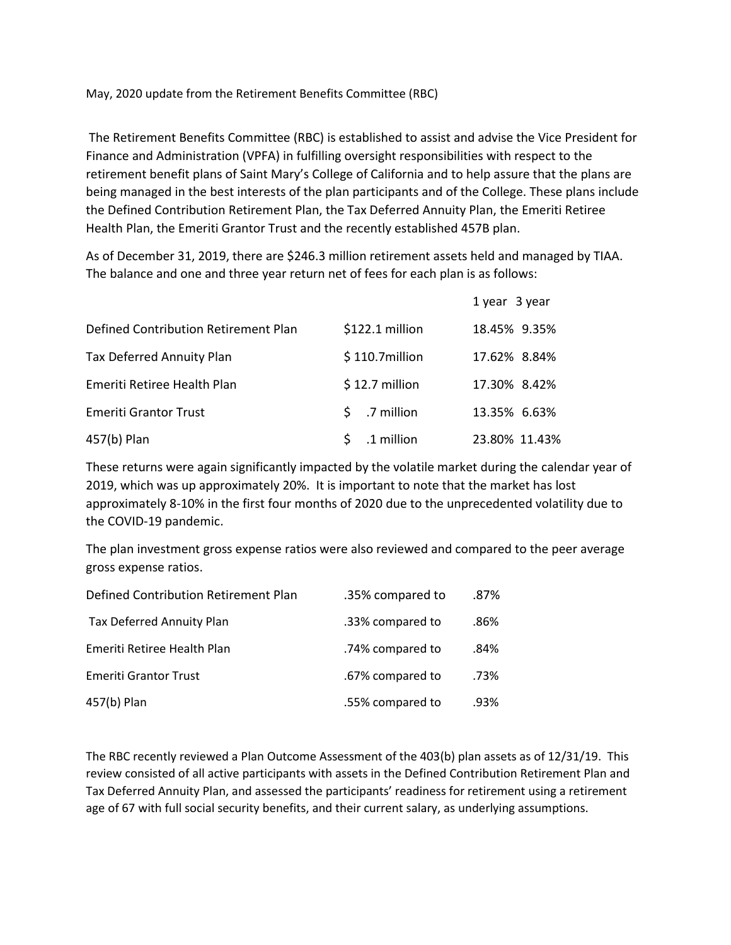May, 2020 update from the Retirement Benefits Committee (RBC)

The Retirement Benefits Committee (RBC) is established to assist and advise the Vice President for Finance and Administration (VPFA) in fulfilling oversight responsibilities with respect to the retirement benefit plans of Saint Mary's College of California and to help assure that the plans are being managed in the best interests of the plan participants and of the College. These plans include the Defined Contribution Retirement Plan, the Tax Deferred Annuity Plan, the Emeriti Retiree Health Plan, the Emeriti Grantor Trust and the recently established 457B plan.

As of December 31, 2019, there are \$246.3 million retirement assets held and managed by TIAA. The balance and one and three year return net of fees for each plan is as follows:

|                                      |                  | 1 year 3 year |
|--------------------------------------|------------------|---------------|
| Defined Contribution Retirement Plan | \$122.1 million  | 18.45% 9.35%  |
| <b>Tax Deferred Annuity Plan</b>     | $$110.7$ million | 17.62% 8.84%  |
| Emeriti Retiree Health Plan          | $$12.7$ million  | 17.30% 8.42%  |
| <b>Emeriti Grantor Trust</b>         | $$.7$ million    | 13.35% 6.63%  |
| 457(b) Plan                          | .1 million       | 23.80% 11.43% |

These returns were again significantly impacted by the volatile market during the calendar year of 2019, which was up approximately 20%. It is important to note that the market has lost approximately 8-10% in the first four months of 2020 due to the unprecedented volatility due to the COVID-19 pandemic.

The plan investment gross expense ratios were also reviewed and compared to the peer average gross expense ratios.

| Defined Contribution Retirement Plan | .35% compared to | .87% |
|--------------------------------------|------------------|------|
| Tax Deferred Annuity Plan            | .33% compared to | .86% |
| Emeriti Retiree Health Plan          | .74% compared to | .84% |
| <b>Emeriti Grantor Trust</b>         | .67% compared to | .73% |
| 457(b) Plan                          | .55% compared to | .93% |

The RBC recently reviewed a Plan Outcome Assessment of the 403(b) plan assets as of 12/31/19. This review consisted of all active participants with assets in the Defined Contribution Retirement Plan and Tax Deferred Annuity Plan, and assessed the participants' readiness for retirement using a retirement age of 67 with full social security benefits, and their current salary, as underlying assumptions.